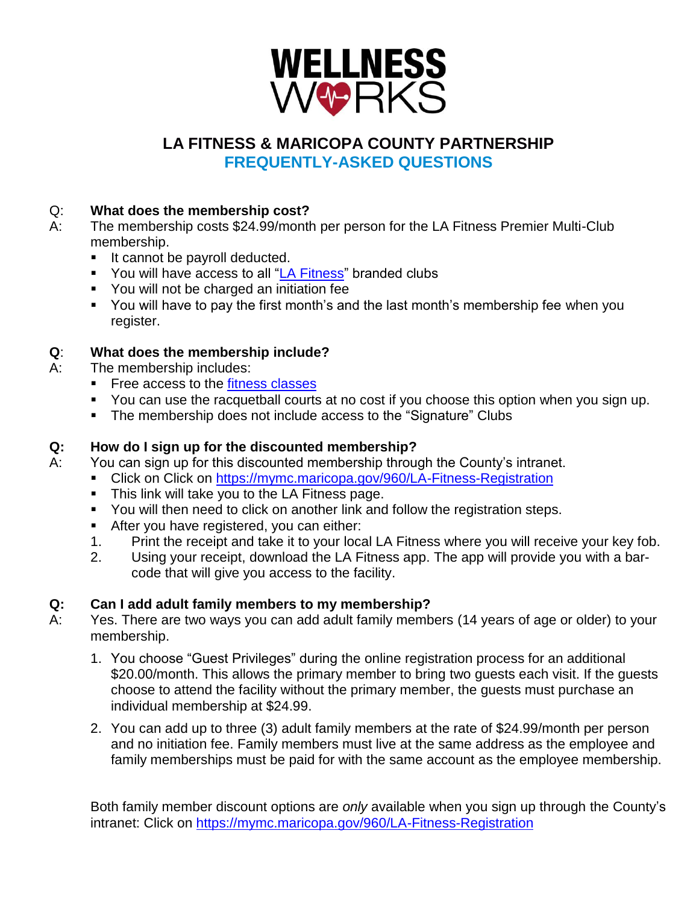

# **LA FITNESS & MARICOPA COUNTY PARTNERSHIP FREQUENTLY-ASKED QUESTIONS**

## Q: **What does the membership cost?**

- A: The membership costs \$24.99/month per person for the LA Fitness Premier Multi-Club membership.
	- It cannot be payroll deducted.
	- You will have access to all ["LA Fitness"](https://www.lafitness.com/Pages/findclub.aspx) branded clubs
	- **You will not be charged an initiation fee**
	- You will have to pay the first month's and the last month's membership fee when you register.

## **Q**: **What does the membership include?**

- A: The membership includes:
	- **Free access to the [fitness classes](https://www.lafitness.com/Pages/LocateClassNearYou.aspx)**
	- You can use the racquetball courts at no cost if you choose this option when you sign up.
	- The membership does not include access to the "Signature" Clubs

## **Q: How do I sign up for the discounted membership?**

- A: You can sign up for this discounted membership through the County's intranet.
	- Click on Click on<https://mymc.maricopa.gov/960/LA-Fitness-Registration>
	- **This link will take you to the LA Fitness page.**
	- You will then need to click on another link and follow the registration steps.
	- After you have registered, you can either:
	- 1. Print the receipt and take it to your local LA Fitness where you will receive your key fob.
	- 2. Using your receipt, download the LA Fitness app. The app will provide you with a barcode that will give you access to the facility.

### **Q: Can I add adult family members to my membership?**

- A: Yes. There are two ways you can add adult family members (14 years of age or older) to your membership.
	- 1. You choose "Guest Privileges" during the online registration process for an additional \$20.00/month. This allows the primary member to bring two quests each visit. If the quests choose to attend the facility without the primary member, the guests must purchase an individual membership at \$24.99.
	- 2. You can add up to three (3) adult family members at the rate of \$24.99/month per person and no initiation fee. Family members must live at the same address as the employee and family memberships must be paid for with the same account as the employee membership.

Both family member discount options are *only* available when you sign up through the County's intranet: Click on<https://mymc.maricopa.gov/960/LA-Fitness-Registration>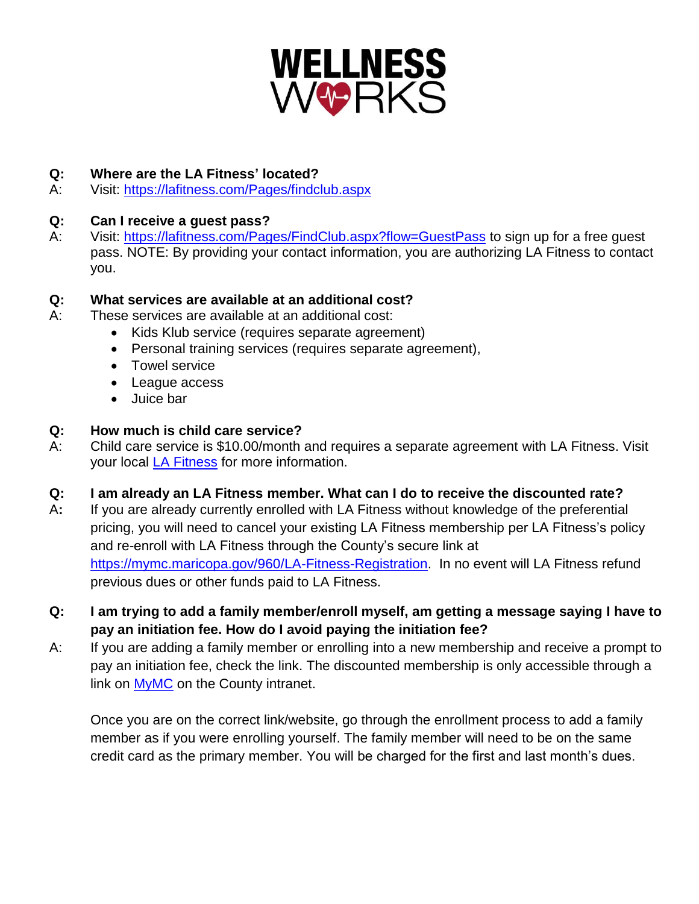

## **Q: Where are the LA Fitness' located?**

A: Visit: <https://lafitness.com/Pages/findclub.aspx>

### **Q: Can I receive a guest pass?**

A: Visit:<https://lafitness.com/Pages/FindClub.aspx?flow=GuestPass> to sign up for a free quest pass. NOTE: By providing your contact information, you are authorizing LA Fitness to contact you.

#### **Q: What services are available at an additional cost?**

- A: These services are available at an additional cost:
	- Kids Klub service (requires separate agreement)
	- Personal training services (requires separate agreement),
	- Towel service
	- League access
	- Juice bar

## **Q: How much is child care service?**

A: Child care service is \$10.00/month and requires a separate agreement with LA Fitness. Visit your local [LA Fitness](https://lafitness.com/Pages/findclub.aspx) for more information.

## **Q: I am already an LA Fitness member. What can I do to receive the discounted rate?**

- A**:** If you are already currently enrolled with LA Fitness without knowledge of the preferential pricing, you will need to cancel your existing LA Fitness membership per LA Fitness's policy and re-enroll with LA Fitness through the County's secure link at [https://mymc.maricopa.gov/960/LA-Fitness-Registration.](https://mymc.maricopa.gov/960/LA-Fitness-Registration) In no event will LA Fitness refund previous dues or other funds paid to LA Fitness.
- **Q: I am trying to add a family member/enroll myself, am getting a message saying I have to pay an initiation fee. How do I avoid paying the initiation fee?**
- A: If you are adding a family member or enrolling into a new membership and receive a prompt to pay an initiation fee, check the link. The discounted membership is only accessible through a link on [MyMC](https://mymc.maricopa.gov/960/LA-Fitness-Registration) on the County intranet.

Once you are on the correct link/website, go through the enrollment process to add a family member as if you were enrolling yourself. The family member will need to be on the same credit card as the primary member. You will be charged for the first and last month's dues.